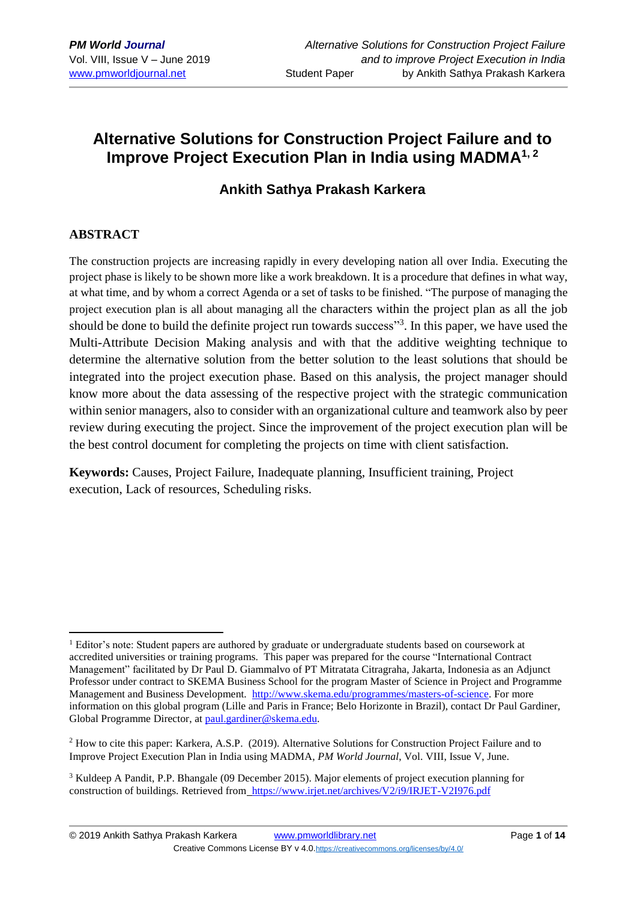# **Alternative Solutions for Construction Project Failure and to Improve Project Execution Plan in India using MADMA1, 2**

## **Ankith Sathya Prakash Karkera**

## **ABSTRACT**

1

The construction projects are increasing rapidly in every developing nation all over India. Executing the project phase is likely to be shown more like a work breakdown. It is a procedure that defines in what way, at what time, and by whom a correct Agenda or a set of tasks to be finished. "The purpose of managing the project execution plan is all about managing all the characters within the project plan as all the job should be done to build the definite project run towards success"<sup>3</sup>. In this paper, we have used the Multi-Attribute Decision Making analysis and with that the additive weighting technique to determine the alternative solution from the better solution to the least solutions that should be integrated into the project execution phase. Based on this analysis, the project manager should know more about the data assessing of the respective project with the strategic communication within senior managers, also to consider with an organizational culture and teamwork also by peer review during executing the project. Since the improvement of the project execution plan will be the best control document for completing the projects on time with client satisfaction.

**Keywords:** Causes, Project Failure, Inadequate planning, Insufficient training, Project execution, Lack of resources, Scheduling risks.

<sup>&</sup>lt;sup>1</sup> Editor's note: Student papers are authored by graduate or undergraduate students based on coursework at accredited universities or training programs. This paper was prepared for the course "International Contract Management" facilitated by Dr Paul D. Giammalvo of PT Mitratata Citragraha, Jakarta, Indonesia as an Adjunct Professor under contract to SKEMA Business School for the program Master of Science in Project and Programme Management and Business Development. [http://www.skema.edu/programmes/masters-of-science.](http://www.skema.edu/programmes/masters-of-science) For more information on this global program (Lille and Paris in France; Belo Horizonte in Brazil), contact Dr Paul Gardiner, Global Programme Director, at [paul.gardiner@skema.edu.](mailto:paul.gardiner@skema.edu)

<sup>2</sup> How to cite this paper: Karkera, A.S.P. (2019). Alternative Solutions for Construction Project Failure and to Improve Project Execution Plan in India using MADMA, *PM World Journal*, Vol. VIII, Issue V, June.

<sup>3</sup> Kuldeep A Pandit, P.P. Bhangale (09 December 2015). Major elements of project execution planning for construction of buildings. Retrieved from <https://www.irjet.net/archives/V2/i9/IRJET-V2I976.pdf>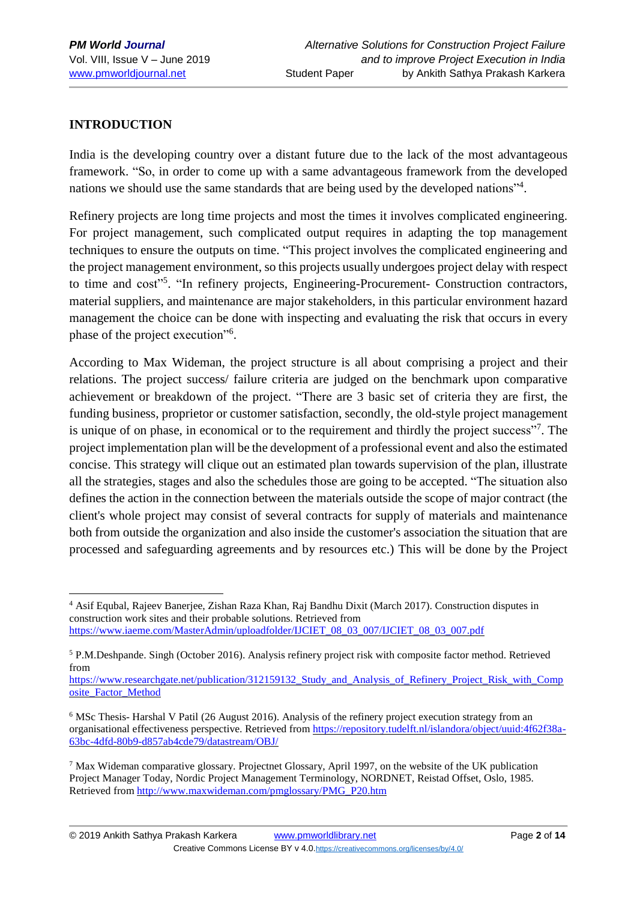## **INTRODUCTION**

1

India is the developing country over a distant future due to the lack of the most advantageous framework. "So, in order to come up with a same advantageous framework from the developed nations we should use the same standards that are being used by the developed nations"<sup>4</sup>.

Refinery projects are long time projects and most the times it involves complicated engineering. For project management, such complicated output requires in adapting the top management techniques to ensure the outputs on time. "This project involves the complicated engineering and the project management environment, so this projects usually undergoes project delay with respect to time and cost"<sup>5</sup>. "In refinery projects, Engineering-Procurement- Construction contractors, material suppliers, and maintenance are major stakeholders, in this particular environment hazard management the choice can be done with inspecting and evaluating the risk that occurs in every phase of the project execution"<sup>6</sup>.

According to Max Wideman, the project structure is all about comprising a project and their relations. The project success/ failure criteria are judged on the benchmark upon comparative achievement or breakdown of the project. "There are 3 basic set of criteria they are first, the funding business, proprietor or customer satisfaction, secondly, the old-style project management is unique of on phase, in economical or to the requirement and thirdly the project success"<sup>7</sup>. The project implementation plan will be the development of a professional event and also the estimated concise. This strategy will clique out an estimated plan towards supervision of the plan, illustrate all the strategies, stages and also the schedules those are going to be accepted. "The situation also defines the action in the connection between the materials outside the scope of major contract (the client's whole project may consist of several contracts for supply of materials and maintenance both from outside the organization and also inside the customer's association the situation that are processed and safeguarding agreements and by resources etc.) This will be done by the Project

<sup>4</sup> Asif Equbal, Rajeev Banerjee, Zishan Raza Khan, Raj Bandhu Dixit (March 2017). Construction disputes in construction work sites and their probable solutions. Retrieved from [https://www.iaeme.com/MasterAdmin/uploadfolder/IJCIET\\_08\\_03\\_007/IJCIET\\_08\\_03\\_007.pdf](https://www.iaeme.com/MasterAdmin/uploadfolder/IJCIET_08_03_007/IJCIET_08_03_007.pdf)

<sup>5</sup> P.M.Deshpande. Singh (October 2016). Analysis refinery project risk with composite factor method. Retrieved from

https://www.researchgate.net/publication/312159132 Study and Analysis of Refinery Project Risk with Comp [osite\\_Factor\\_Method](https://www.researchgate.net/publication/312159132_Study_and_Analysis_of_Refinery_Project_Risk_with_Composite_Factor_Method)

<sup>&</sup>lt;sup>6</sup> MSc Thesis- Harshal V Patil (26 August 2016). Analysis of the refinery project execution strategy from an organisational effectiveness perspective. Retrieved from [https://repository.tudelft.nl/islandora/object/uuid:4f62f38a-](https://repository.tudelft.nl/islandora/object/uuid:4f62f38a-63bc-4dfd-80b9-d857ab4cde79/datastream/OBJ/)[63bc-4dfd-80b9-d857ab4cde79/datastream/OBJ/](https://repository.tudelft.nl/islandora/object/uuid:4f62f38a-63bc-4dfd-80b9-d857ab4cde79/datastream/OBJ/) 

<sup>7</sup> Max Wideman comparative glossary. Projectnet Glossary, April 1997, on the website of the UK publication Project Manager Today, Nordic Project Management Terminology, NORDNET, Reistad Offset, Oslo, 1985. Retrieved from [http://www.maxwideman.com/pmglossary/PMG\\_P20.htm](http://www.maxwideman.com/pmglossary/PMG_P20.htm)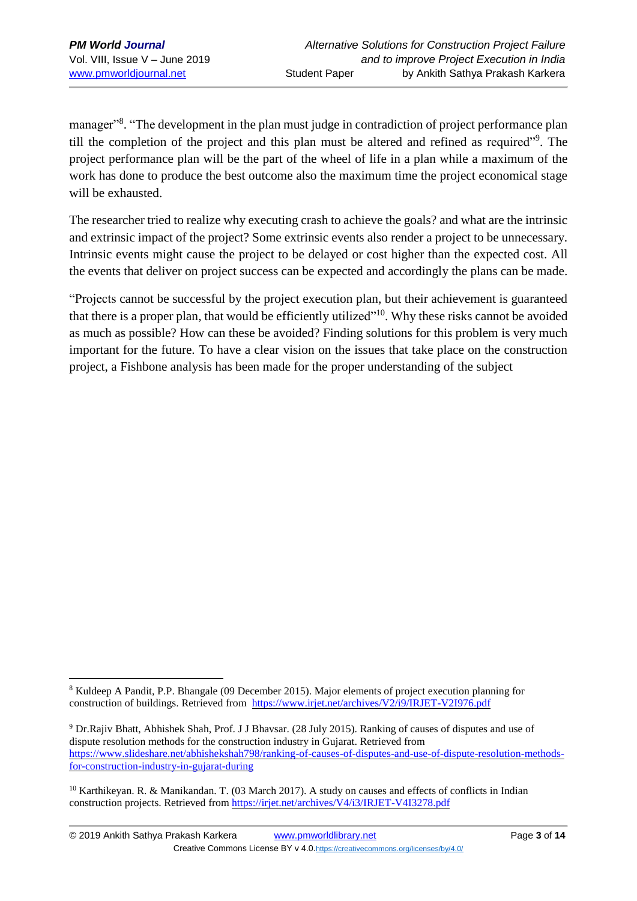1

manager"<sup>8</sup>. "The development in the plan must judge in contradiction of project performance plan till the completion of the project and this plan must be altered and refined as required"<sup>9</sup>. The project performance plan will be the part of the wheel of life in a plan while a maximum of the work has done to produce the best outcome also the maximum time the project economical stage will be exhausted.

The researcher tried to realize why executing crash to achieve the goals? and what are the intrinsic and extrinsic impact of the project? Some extrinsic events also render a project to be unnecessary. Intrinsic events might cause the project to be delayed or cost higher than the expected cost. All the events that deliver on project success can be expected and accordingly the plans can be made.

"Projects cannot be successful by the project execution plan, but their achievement is guaranteed that there is a proper plan, that would be efficiently utilized"<sup>10</sup>. Why these risks cannot be avoided as much as possible? How can these be avoided? Finding solutions for this problem is very much important for the future. To have a clear vision on the issues that take place on the construction project, a Fishbone analysis has been made for the proper understanding of the subject

<sup>8</sup> Kuldeep A Pandit, P.P. Bhangale (09 December 2015). Major elements of project execution planning for construction of buildings. Retrieved from <https://www.irjet.net/archives/V2/i9/IRJET-V2I976.pdf>

<sup>9</sup> Dr.Rajiv Bhatt, Abhishek Shah, Prof. J J Bhavsar. (28 July 2015). Ranking of causes of disputes and use of dispute resolution methods for the construction industry in Gujarat. Retrieved from [https://www.slideshare.net/abhishekshah798/ranking-of-causes-of-disputes-and-use-of-dispute-resolution-methods](https://www.slideshare.net/abhishekshah798/ranking-of-causes-of-disputes-and-use-of-dispute-resolution-methods-for-construction-industry-in-gujarat-during)[for-construction-industry-in-gujarat-during](https://www.slideshare.net/abhishekshah798/ranking-of-causes-of-disputes-and-use-of-dispute-resolution-methods-for-construction-industry-in-gujarat-during)

<sup>&</sup>lt;sup>10</sup> Karthikeyan. R. & Manikandan. T. (03 March 2017). A study on causes and effects of conflicts in Indian construction projects. Retrieved from <https://irjet.net/archives/V4/i3/IRJET-V4I3278.pdf>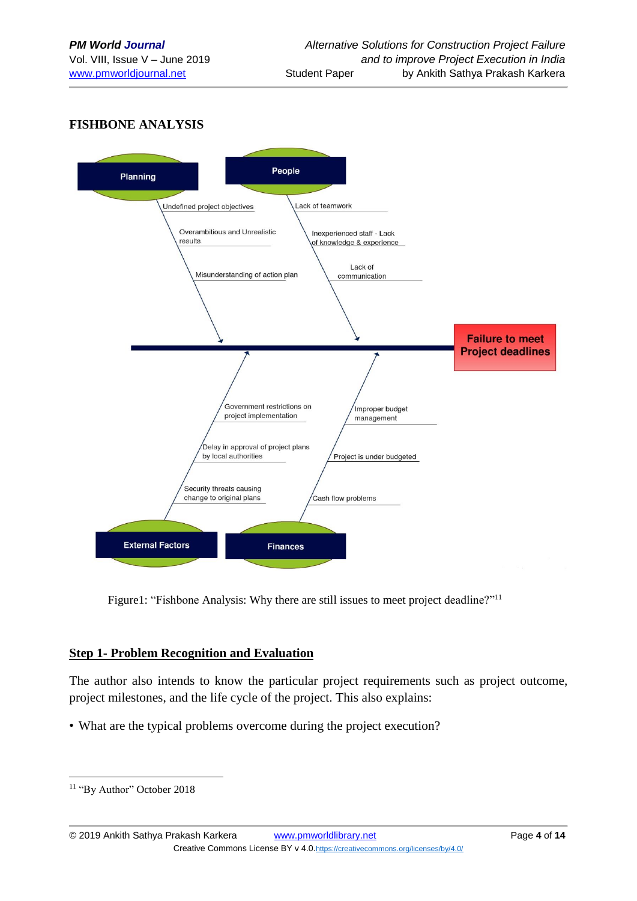## **FISHBONE ANALYSIS**



Figure1: "Fishbone Analysis: Why there are still issues to meet project deadline?"<sup>11</sup>

#### **Step 1- Problem Recognition and Evaluation**

The author also intends to know the particular project requirements such as project outcome, project milestones, and the life cycle of the project. This also explains:

• What are the typical problems overcome during the project execution?

1

<sup>&</sup>lt;sup>11</sup> "By Author" October 2018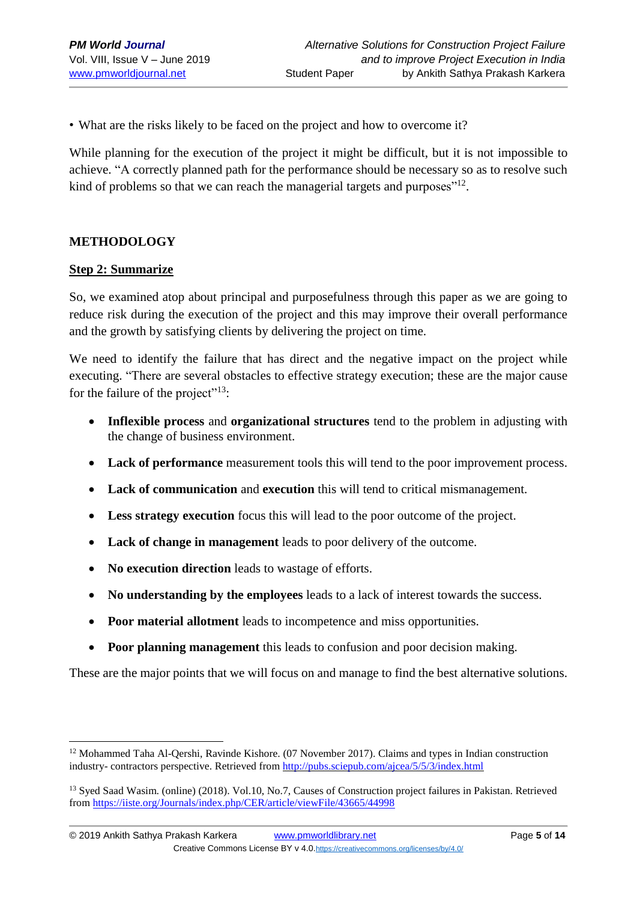• What are the risks likely to be faced on the project and how to overcome it?

While planning for the execution of the project it might be difficult, but it is not impossible to achieve. "A correctly planned path for the performance should be necessary so as to resolve such kind of problems so that we can reach the managerial targets and purposes" $^{12}$ .

#### **METHODOLOGY**

#### **Step 2: Summarize**

1

So, we examined atop about principal and purposefulness through this paper as we are going to reduce risk during the execution of the project and this may improve their overall performance and the growth by satisfying clients by delivering the project on time.

We need to identify the failure that has direct and the negative impact on the project while executing. "There are several obstacles to effective strategy execution; these are the major cause for the failure of the project"<sup>13</sup>:

- **Inflexible process** and **organizational structures** tend to the problem in adjusting with the change of business environment.
- **Lack of performance** measurement tools this will tend to the poor improvement process.
- **Lack of communication** and **execution** this will tend to critical mismanagement.
- **Less strategy execution** focus this will lead to the poor outcome of the project.
- **Lack of change in management** leads to poor delivery of the outcome.
- **No execution direction** leads to wastage of efforts.
- **No understanding by the employees** leads to a lack of interest towards the success.
- **Poor material allotment** leads to incompetence and miss opportunities.
- **Poor planning management** this leads to confusion and poor decision making.

These are the major points that we will focus on and manage to find the best alternative solutions.

<sup>&</sup>lt;sup>12</sup> Mohammed Taha Al-Qershi, Ravinde Kishore. (07 November 2017). Claims and types in Indian construction industry- contractors perspective. Retrieved from <http://pubs.sciepub.com/ajcea/5/5/3/index.html>

<sup>&</sup>lt;sup>13</sup> Syed Saad Wasim. (online) (2018). Vol.10, No.7, Causes of Construction project failures in Pakistan. Retrieved fro[m https://iiste.org/Journals/index.php/CER/article/viewFile/43665/44998](https://iiste.org/Journals/index.php/CER/article/viewFile/43665/44998)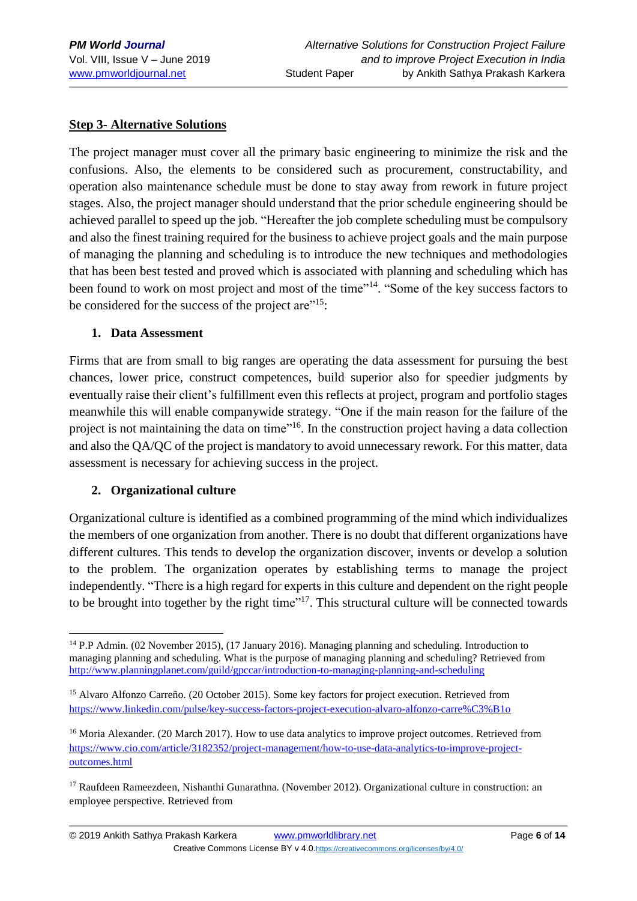#### **Step 3- Alternative Solutions**

The project manager must cover all the primary basic engineering to minimize the risk and the confusions. Also, the elements to be considered such as procurement, constructability, and operation also maintenance schedule must be done to stay away from rework in future project stages. Also, the project manager should understand that the prior schedule engineering should be achieved parallel to speed up the job. "Hereafter the job complete scheduling must be compulsory and also the finest training required for the business to achieve project goals and the main purpose of managing the planning and scheduling is to introduce the new techniques and methodologies that has been best tested and proved which is associated with planning and scheduling which has been found to work on most project and most of the time"<sup>14</sup>. "Some of the key success factors to be considered for the success of the project are $"^{15}$ :

#### **1. Data Assessment**

Firms that are from small to big ranges are operating the data assessment for pursuing the best chances, lower price, construct competences, build superior also for speedier judgments by eventually raise their client's fulfillment even this reflects at project, program and portfolio stages meanwhile this will enable companywide strategy. "One if the main reason for the failure of the project is not maintaining the data on time"<sup>16</sup>. In the construction project having a data collection and also the QA/QC of the project is mandatory to avoid unnecessary rework. For this matter, data assessment is necessary for achieving success in the project.

#### **2. Organizational culture**

1

Organizational culture is identified as a combined programming of the mind which individualizes the members of one organization from another. There is no doubt that different organizations have different cultures. This tends to develop the organization discover, invents or develop a solution to the problem. The organization operates by establishing terms to manage the project independently. "There is a high regard for experts in this culture and dependent on the right people to be brought into together by the right time $17$ . This structural culture will be connected towards

<sup>14</sup> P.P Admin. (02 November 2015), (17 January 2016). Managing planning and scheduling. Introduction to managing planning and scheduling. What is the purpose of managing planning and scheduling? Retrieved from <http://www.planningplanet.com/guild/gpccar/introduction-to-managing-planning-and-scheduling>

<sup>&</sup>lt;sup>15</sup> Alvaro Alfonzo Carreño. (20 October 2015). Some key factors for project execution. Retrieved from <https://www.linkedin.com/pulse/key-success-factors-project-execution-alvaro-alfonzo-carre%C3%B1o>

<sup>&</sup>lt;sup>16</sup> Moria Alexander. (20 March 2017). How to use data analytics to improve project outcomes. Retrieved from [https://www.cio.com/article/3182352/project-management/how-to-use-data-analytics-to-improve-project](https://www.cio.com/article/3182352/project-management/how-to-use-data-analytics-to-improve-project-outcomes.html)[outcomes.html](https://www.cio.com/article/3182352/project-management/how-to-use-data-analytics-to-improve-project-outcomes.html)

<sup>&</sup>lt;sup>17</sup> Raufdeen Rameezdeen, Nishanthi Gunarathna. (November 2012). Organizational culture in construction: an employee perspective. Retrieved from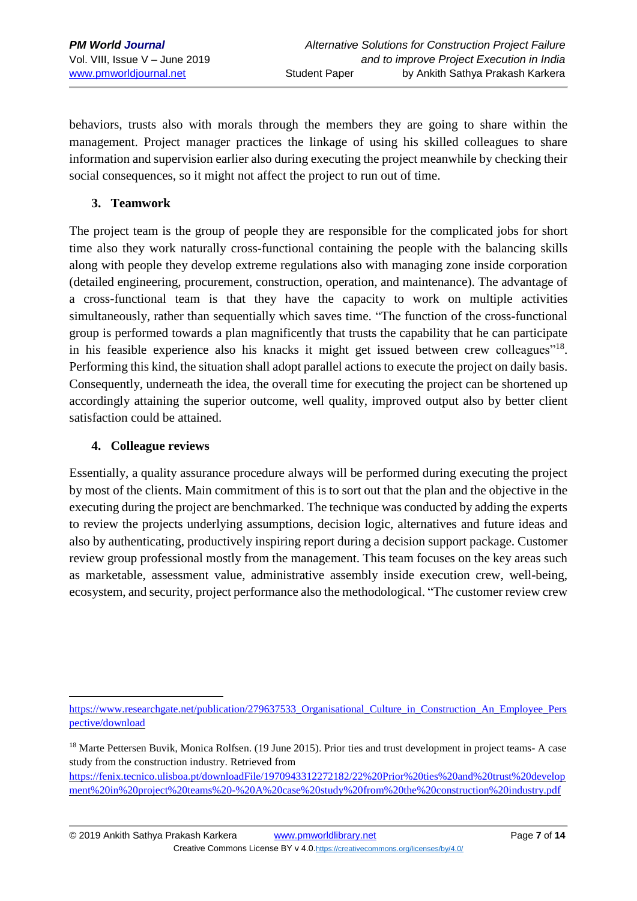behaviors, trusts also with morals through the members they are going to share within the management. Project manager practices the linkage of using his skilled colleagues to share information and supervision earlier also during executing the project meanwhile by checking their social consequences, so it might not affect the project to run out of time.

## **3. Teamwork**

The project team is the group of people they are responsible for the complicated jobs for short time also they work naturally cross-functional containing the people with the balancing skills along with people they develop extreme regulations also with managing zone inside corporation (detailed engineering, procurement, construction, operation, and maintenance). The advantage of a cross-functional team is that they have the capacity to work on multiple activities simultaneously, rather than sequentially which saves time. "The function of the cross-functional group is performed towards a plan magnificently that trusts the capability that he can participate in his feasible experience also his knacks it might get issued between crew colleagues"<sup>18</sup>. Performing this kind, the situation shall adopt parallel actions to execute the project on daily basis. Consequently, underneath the idea, the overall time for executing the project can be shortened up accordingly attaining the superior outcome, well quality, improved output also by better client satisfaction could be attained.

#### **4. Colleague reviews**

1

Essentially, a quality assurance procedure always will be performed during executing the project by most of the clients. Main commitment of this is to sort out that the plan and the objective in the executing during the project are benchmarked. The technique was conducted by adding the experts to review the projects underlying assumptions, decision logic, alternatives and future ideas and also by authenticating, productively inspiring report during a decision support package. Customer review group professional mostly from the management. This team focuses on the key areas such as marketable, assessment value, administrative assembly inside execution crew, well-being, ecosystem, and security, project performance also the methodological. "The customer review crew

[https://www.researchgate.net/publication/279637533\\_Organisational\\_Culture\\_in\\_Construction\\_An\\_Employee\\_Pers](https://www.researchgate.net/publication/279637533_Organisational_Culture_in_Construction_An_Employee_Perspective/download) [pective/download](https://www.researchgate.net/publication/279637533_Organisational_Culture_in_Construction_An_Employee_Perspective/download)

<sup>&</sup>lt;sup>18</sup> Marte Pettersen Buvik, Monica Rolfsen. (19 June 2015). Prior ties and trust development in project teams- A case study from the construction industry. Retrieved from

[https://fenix.tecnico.ulisboa.pt/downloadFile/1970943312272182/22%20Prior%20ties%20and%20trust%20develop](https://fenix.tecnico.ulisboa.pt/downloadFile/1970943312272182/22%20Prior%20ties%20and%20trust%20development%20in%20project%20teams%20-%20A%20case%20study%20from%20the%20construction%20industry.pdf) [ment%20in%20project%20teams%20-%20A%20case%20study%20from%20the%20construction%20industry.pdf](https://fenix.tecnico.ulisboa.pt/downloadFile/1970943312272182/22%20Prior%20ties%20and%20trust%20development%20in%20project%20teams%20-%20A%20case%20study%20from%20the%20construction%20industry.pdf)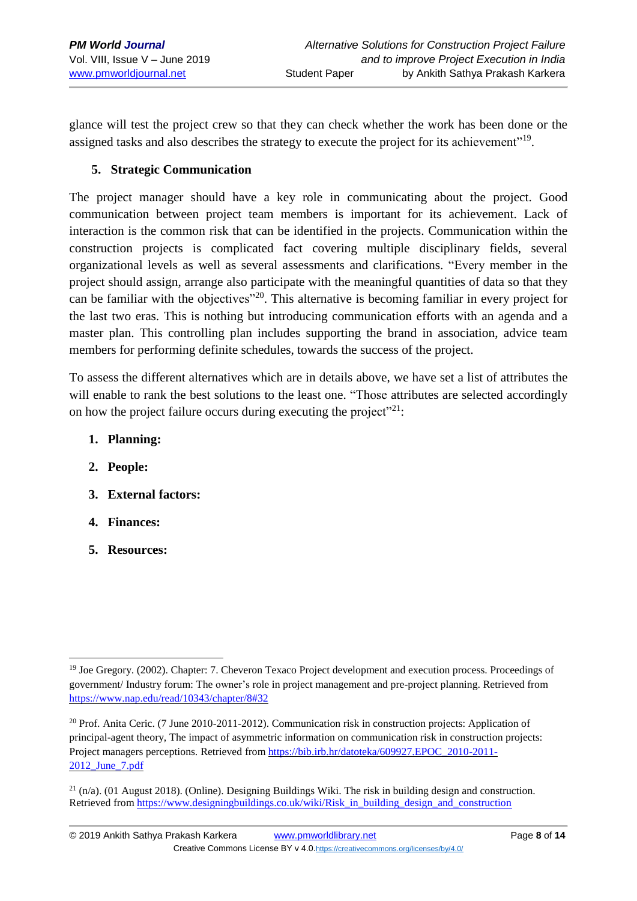glance will test the project crew so that they can check whether the work has been done or the assigned tasks and also describes the strategy to execute the project for its achievement"<sup>19</sup>.

## **5. Strategic Communication**

The project manager should have a key role in communicating about the project. Good communication between project team members is important for its achievement. Lack of interaction is the common risk that can be identified in the projects. Communication within the construction projects is complicated fact covering multiple disciplinary fields, several organizational levels as well as several assessments and clarifications. "Every member in the project should assign, arrange also participate with the meaningful quantities of data so that they can be familiar with the objectives"<sup>20</sup>. This alternative is becoming familiar in every project for the last two eras. This is nothing but introducing communication efforts with an agenda and a master plan. This controlling plan includes supporting the brand in association, advice team members for performing definite schedules, towards the success of the project.

To assess the different alternatives which are in details above, we have set a list of attributes the will enable to rank the best solutions to the least one. "Those attributes are selected accordingly on how the project failure occurs during executing the project"<sup>21</sup>:

- **1. Planning:**
- **2. People:**
- **3. External factors:**
- **4. Finances:**
- **5. Resources:**

<sup>1</sup> <sup>19</sup> Joe Gregory. (2002). Chapter: 7. Cheveron Texaco Project development and execution process. Proceedings of government/ Industry forum: The owner's role in project management and pre-project planning. Retrieved from <https://www.nap.edu/read/10343/chapter/8#32>

<sup>20</sup> Prof. Anita Ceric. (7 June 2010-2011-2012). Communication risk in construction projects: Application of principal-agent theory, The impact of asymmetric information on communication risk in construction projects: Project managers perceptions. Retrieved from [https://bib.irb.hr/datoteka/609927.EPOC\\_2010-2011-](https://bib.irb.hr/datoteka/609927.EPOC_2010-2011-2012_June_7.pdf) [2012\\_June\\_7.pdf](https://bib.irb.hr/datoteka/609927.EPOC_2010-2011-2012_June_7.pdf)

 $^{21}$  (n/a). (01 August 2018). (Online). Designing Buildings Wiki. The risk in building design and construction. Retrieved from [https://www.designingbuildings.co.uk/wiki/Risk\\_in\\_building\\_design\\_and\\_construction](https://www.designingbuildings.co.uk/wiki/Risk_in_building_design_and_construction)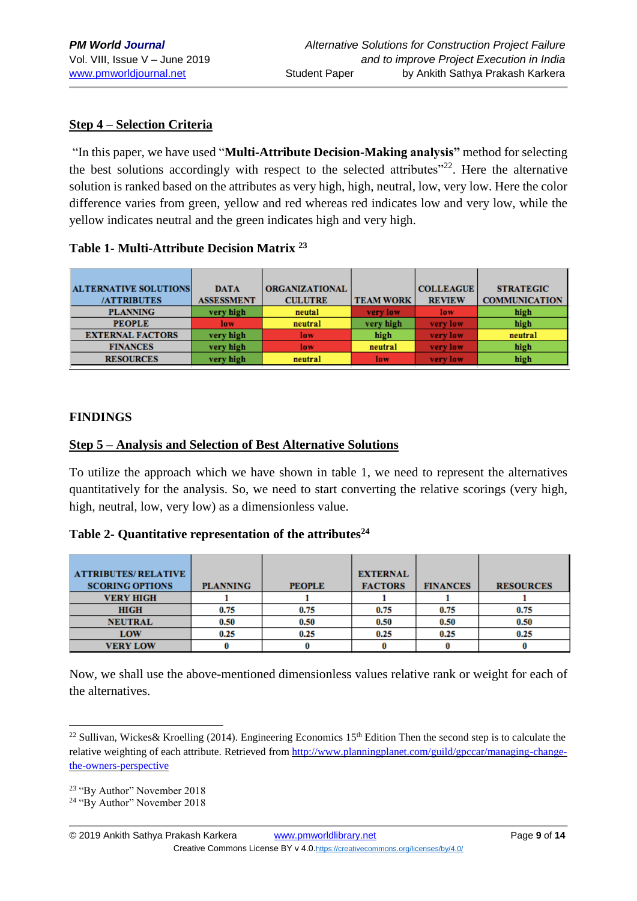#### **Step 4 – Selection Criteria**

"In this paper, we have used "**Multi-Attribute Decision-Making analysis"** method for selecting the best solutions accordingly with respect to the selected attributes"<sup>22</sup>. Here the alternative solution is ranked based on the attributes as very high, high, neutral, low, very low. Here the color difference varies from green, yellow and red whereas red indicates low and very low, while the yellow indicates neutral and the green indicates high and very high.

#### **Table 1- Multi-Attribute Decision Matrix <sup>23</sup>**

| <b>ALTERNATIVE SOLUTIONS</b> | <b>DATA</b>       | <b>ORGANIZATIONAL</b> |                  | <b>COLLEAGUE</b> | <b>STRATEGIC</b>     |
|------------------------------|-------------------|-----------------------|------------------|------------------|----------------------|
| <b>/ATTRIBUTES</b>           | <b>ASSESSMENT</b> | <b>CULUTRE</b>        | <b>TEAM WORK</b> | <b>REVIEW</b>    | <b>COMMUNICATION</b> |
| <b>PLANNING</b>              | very high         | neutal                | very low         | low              | high                 |
| <b>PEOPLE</b>                | low               | neutral               | very high        | very low         | high                 |
| <b>EXTERNAL FACTORS</b>      | very high         | low                   | high             | very low         | neutral              |
| <b>FINANCES</b>              | very high         | low                   | neutral          | very low         | high                 |
| <b>RESOURCES</b>             | very high         | neutral               | low              | very low         | high                 |

#### **FINDINGS**

#### **Step 5 – Analysis and Selection of Best Alternative Solutions**

To utilize the approach which we have shown in table 1, we need to represent the alternatives quantitatively for the analysis. So, we need to start converting the relative scorings (very high, high, neutral, low, very low) as a dimensionless value.

#### **Table 2- Quantitative representation of the attributes<sup>24</sup>**

| <b>ATTRIBUTES/RELATIVE</b><br><b>SCORING OPTIONS</b> | <b>PLANNING</b> | <b>PEOPLE</b> | <b>EXTERNAL</b><br><b>FACTORS</b> | <b>FINANCES</b> | <b>RESOURCES</b> |
|------------------------------------------------------|-----------------|---------------|-----------------------------------|-----------------|------------------|
| <b>VERY HIGH</b>                                     |                 |               |                                   |                 |                  |
| <b>HIGH</b>                                          | 0.75            | 0.75          | 0.75                              | 0.75            | 0.75             |
| <b>NEUTRAL</b>                                       | 0.50            | 0.50          | 0.50                              | 0.50            | 0.50             |
| LOW                                                  | 0.25            | 0.25          | 0.25                              | 0.25            | 0.25             |
| <b>VERY LOW</b>                                      |                 |               |                                   |                 |                  |

Now, we shall use the above-mentioned dimensionless values relative rank or weight for each of the alternatives.

1

<sup>&</sup>lt;sup>22</sup> Sullivan, Wickes& Kroelling (2014). Engineering Economics 15<sup>th</sup> Edition Then the second step is to calculate the relative weighting of each attribute. Retrieved from [http://www.planningplanet.com/guild/gpccar/managing-change](http://www.planningplanet.com/guild/gpccar/managing-change-the-owners-perspective)[the-owners-perspective](http://www.planningplanet.com/guild/gpccar/managing-change-the-owners-perspective) 

<sup>23</sup> "By Author" November 2018

<sup>24</sup> "By Author" November 2018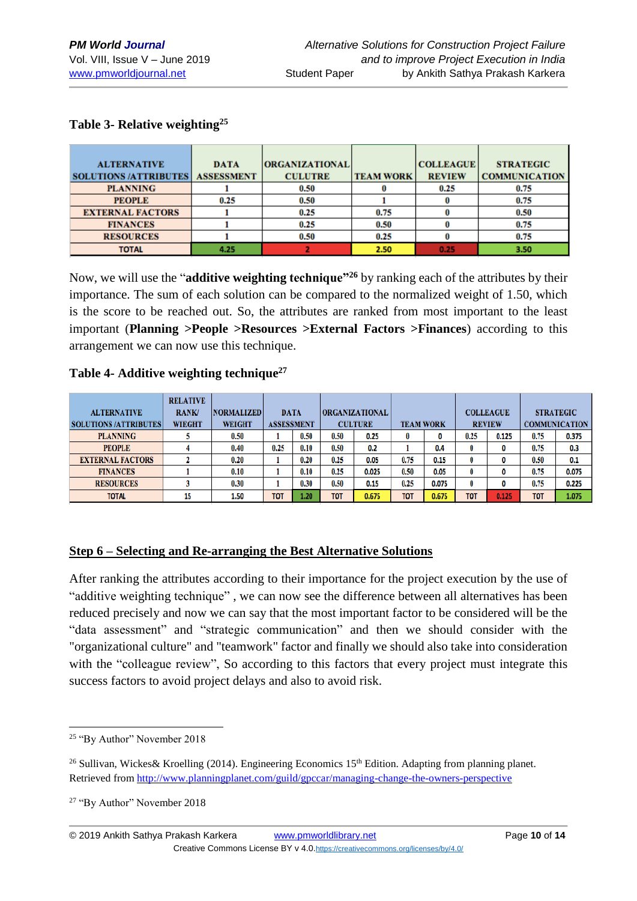**TION** 

| <b>ALTERNATIVE</b>           | <b>DATA</b>       | <b>ORGANIZATIONAL</b> |                  | <b>COLLEAGUE</b> | <b>STRATEGIC</b>   |
|------------------------------|-------------------|-----------------------|------------------|------------------|--------------------|
| <b>SOLUTIONS /ATTRIBUTES</b> | <b>ASSESSMENT</b> | <b>CULUTRE</b>        | <b>TEAM WORK</b> | <b>REVIEW</b>    | <b>COMMUNICATI</b> |
| <b>PLANNING</b>              |                   | 0.50                  |                  | 0.25             | 0.75               |
| <b>PEOPLE</b>                | 0.25              | 0.50                  |                  |                  | 0.75               |
| <b>EXTERNAL FACTORS</b>      |                   | 0.25                  | 0.75             |                  | 0.50               |
| <b>FINANCES</b>              |                   | 0.25                  | 0.50             |                  | 0.75               |
| <b>RESOURCES</b>             |                   | 0.50                  | 0.25             |                  | 0.75               |
| <b>TOTAL</b>                 | 4.25              |                       | 2.50             | 0.25             | 3.50               |

#### **Table 3- Relative weighting<sup>25</sup>**

Now, we will use the "**additive weighting technique"<sup>26</sup>** by ranking each of the attributes by their importance. The sum of each solution can be compared to the normalized weight of 1.50, which is the score to be reached out. So, the attributes are ranked from most important to the least important (**Planning >People >Resources >External Factors >Finances**) according to this arrangement we can now use this technique.

#### **Table 4- Additive weighting technique<sup>27</sup>**

| <b>ALTERNATIVE</b>           | <b>RELATIVE</b><br><b>RANK/</b> | <b>NORMALIZED</b> | <b>DATA</b>       |      |            | <b>ORGANIZATIONAL</b> |                  |       |            | <b>COLLEAGUE</b> |      | <b>STRATEGIC</b>     |
|------------------------------|---------------------------------|-------------------|-------------------|------|------------|-----------------------|------------------|-------|------------|------------------|------|----------------------|
| <b>SOLUTIONS /ATTRIBUTES</b> | <b>WIEGHT</b>                   | WEIGHT            | <b>ASSESSMENT</b> |      |            | <b>CULTURE</b>        | <b>TEAM WORK</b> |       |            | <b>REVIEW</b>    |      | <b>COMMUNICATION</b> |
| <b>PLANNING</b>              |                                 | 0.50              |                   | 0.50 | 0.50       | 0.25                  | $\bf{0}$         | 0     | 0.25       | 0.125            | 0.75 | 0.375                |
| <b>PEOPLE</b>                |                                 | 0.40              | 0.25              | 0.10 | 0.50       | 0.2                   |                  | 0.4   | 0          | 0                | 0.75 | 0.3                  |
| <b>EXTERNAL FACTORS</b>      |                                 | 0.20              |                   | 0.20 | 0.25       | 0.05                  | 0.75             | 0.15  | 0          | 0                | 0.50 | 0.1                  |
| <b>FINANCES</b>              |                                 | 0.10              |                   | 0.10 | 0.25       | 0.025                 | 0.50             | 0.05  | 0          | 0                | 0.75 | 0.075                |
| <b>RESOURCES</b>             |                                 | 0.30              |                   | 0.30 | 0.50       | 0.15                  | 0.25             | 0.075 | 0          | 0                | 0.75 | 0.225                |
| <b>TOTAL</b>                 | 15                              | 1.50              | <b>TOT</b>        | 1.20 | <b>TOT</b> | 0.675                 | <b>TOT</b>       | 0.675 | <b>TOT</b> | 0.125            | TOT  | 1.075                |

#### **Step 6 – Selecting and Re-arranging the Best Alternative Solutions**

After ranking the attributes according to their importance for the project execution by the use of "additive weighting technique" , we can now see the difference between all alternatives has been reduced precisely and now we can say that the most important factor to be considered will be the "data assessment" and "strategic communication" and then we should consider with the "organizational culture" and "teamwork" factor and finally we should also take into consideration with the "colleague review", So according to this factors that every project must integrate this success factors to avoid project delays and also to avoid risk.

<sup>&</sup>lt;u>.</u> <sup>25</sup> "By Author" November 2018

<sup>&</sup>lt;sup>26</sup> Sullivan, Wickes& Kroelling (2014). Engineering Economics 15<sup>th</sup> Edition. Adapting from planning planet. Retrieved from <http://www.planningplanet.com/guild/gpccar/managing-change-the-owners-perspective>

<sup>27</sup> "By Author" November 2018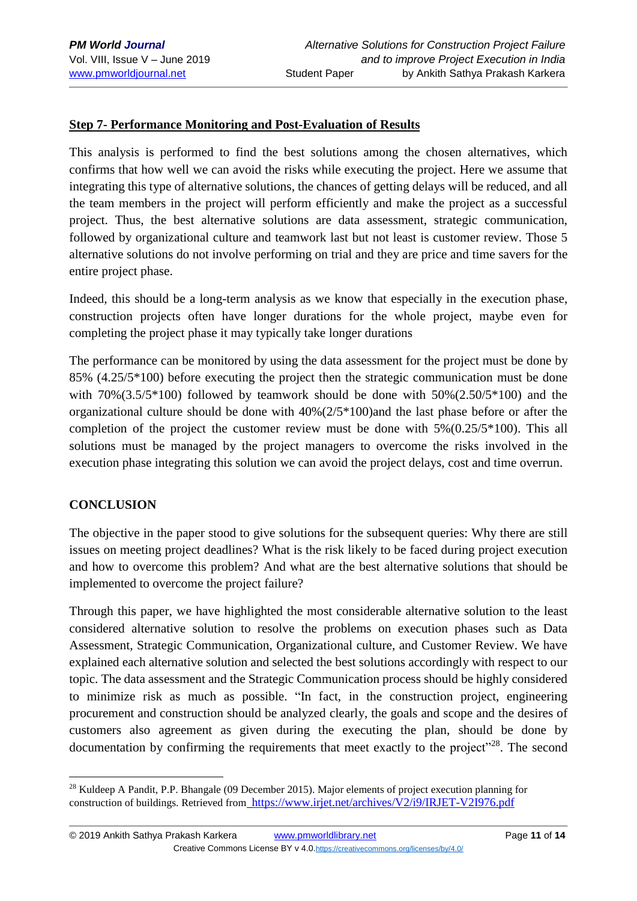## **Step 7- Performance Monitoring and Post-Evaluation of Results**

This analysis is performed to find the best solutions among the chosen alternatives, which confirms that how well we can avoid the risks while executing the project. Here we assume that integrating this type of alternative solutions, the chances of getting delays will be reduced, and all the team members in the project will perform efficiently and make the project as a successful project. Thus, the best alternative solutions are data assessment, strategic communication, followed by organizational culture and teamwork last but not least is customer review. Those 5 alternative solutions do not involve performing on trial and they are price and time savers for the entire project phase.

Indeed, this should be a long-term analysis as we know that especially in the execution phase, construction projects often have longer durations for the whole project, maybe even for completing the project phase it may typically take longer durations

The performance can be monitored by using the data assessment for the project must be done by 85% (4.25/5\*100) before executing the project then the strategic communication must be done with  $70\%(3.5/5*100)$  followed by teamwork should be done with  $50\%(2.50/5*100)$  and the organizational culture should be done with 40%(2/5\*100)and the last phase before or after the completion of the project the customer review must be done with 5%(0.25/5\*100). This all solutions must be managed by the project managers to overcome the risks involved in the execution phase integrating this solution we can avoid the project delays, cost and time overrun.

#### **CONCLUSION**

The objective in the paper stood to give solutions for the subsequent queries: Why there are still issues on meeting project deadlines? What is the risk likely to be faced during project execution and how to overcome this problem? And what are the best alternative solutions that should be implemented to overcome the project failure?

Through this paper, we have highlighted the most considerable alternative solution to the least considered alternative solution to resolve the problems on execution phases such as Data Assessment, Strategic Communication, Organizational culture, and Customer Review. We have explained each alternative solution and selected the best solutions accordingly with respect to our topic. The data assessment and the Strategic Communication process should be highly considered to minimize risk as much as possible. "In fact, in the construction project, engineering procurement and construction should be analyzed clearly, the goals and scope and the desires of customers also agreement as given during the executing the plan, should be done by documentation by confirming the requirements that meet exactly to the project"<sup>28</sup>. The second

<sup>1</sup> <sup>28</sup> Kuldeep A Pandit, P.P. Bhangale (09 December 2015). Major elements of project execution planning for construction of buildings. Retrieved from <https://www.irjet.net/archives/V2/i9/IRJET-V2I976.pdf>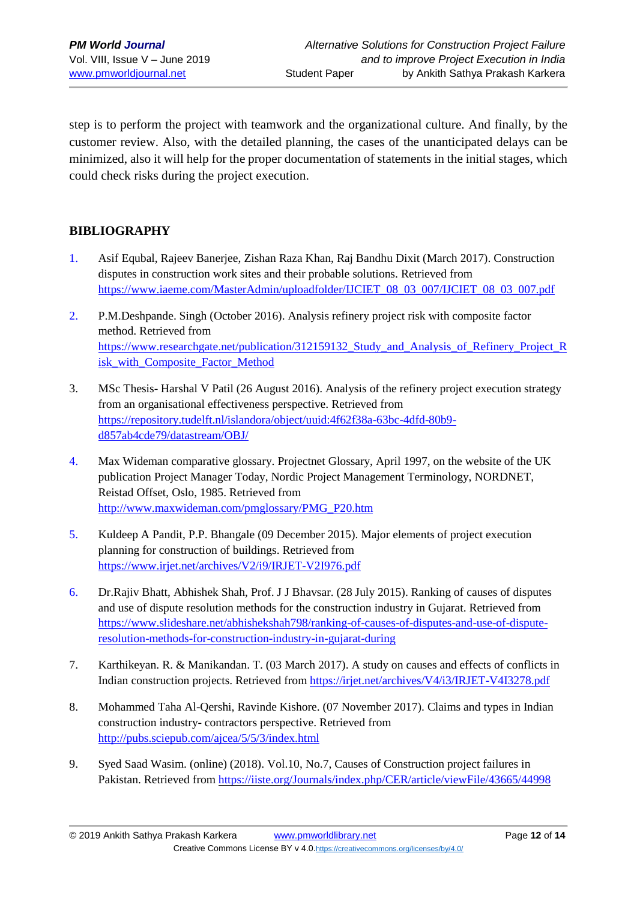step is to perform the project with teamwork and the organizational culture. And finally, by the customer review. Also, with the detailed planning, the cases of the unanticipated delays can be minimized, also it will help for the proper documentation of statements in the initial stages, which could check risks during the project execution.

#### **BIBLIOGRAPHY**

- 1. Asif Equbal, Rajeev Banerjee, Zishan Raza Khan, Raj Bandhu Dixit (March 2017). Construction disputes in construction work sites and their probable solutions. Retrieved from [https://www.iaeme.com/MasterAdmin/uploadfolder/IJCIET\\_08\\_03\\_007/IJCIET\\_08\\_03\\_007.pdf](https://www.iaeme.com/MasterAdmin/uploadfolder/IJCIET_08_03_007/IJCIET_08_03_007.pdf)
- 2. P.M.Deshpande. Singh (October 2016). Analysis refinery project risk with composite factor method. Retrieved from [https://www.researchgate.net/publication/312159132\\_Study\\_and\\_Analysis\\_of\\_Refinery\\_Project\\_R](https://www.researchgate.net/publication/312159132_Study_and_Analysis_of_Refinery_Project_Risk_with_Composite_Factor_Method) [isk\\_with\\_Composite\\_Factor\\_Method](https://www.researchgate.net/publication/312159132_Study_and_Analysis_of_Refinery_Project_Risk_with_Composite_Factor_Method)
- 3. MSc Thesis- Harshal V Patil (26 August 2016). Analysis of the refinery project execution strategy from an organisational effectiveness perspective. Retrieved from [https://repository.tudelft.nl/islandora/object/uuid:4f62f38a-63bc-4dfd-80b9](https://repository.tudelft.nl/islandora/object/uuid:4f62f38a-63bc-4dfd-80b9-d857ab4cde79/datastream/OBJ/) [d857ab4cde79/datastream/OBJ/](https://repository.tudelft.nl/islandora/object/uuid:4f62f38a-63bc-4dfd-80b9-d857ab4cde79/datastream/OBJ/)
- 4. Max Wideman comparative glossary. Projectnet Glossary, April 1997, on the website of the UK publication Project Manager Today, Nordic Project Management Terminology, NORDNET, Reistad Offset, Oslo, 1985. Retrieved from [http://www.maxwideman.com/pmglossary/PMG\\_P20.htm](http://www.maxwideman.com/pmglossary/PMG_P20.htm)
- 5. Kuldeep A Pandit, P.P. Bhangale (09 December 2015). Major elements of project execution planning for construction of buildings. Retrieved from <https://www.irjet.net/archives/V2/i9/IRJET-V2I976.pdf>
- 6. Dr.Rajiv Bhatt, Abhishek Shah, Prof. J J Bhavsar. (28 July 2015). Ranking of causes of disputes and use of dispute resolution methods for the construction industry in Gujarat. Retrieved from [https://www.slideshare.net/abhishekshah798/ranking-of-causes-of-disputes-and-use-of-dispute](https://www.slideshare.net/abhishekshah798/ranking-of-causes-of-disputes-and-use-of-dispute-resolution-methods-for-construction-industry-in-gujarat-during)[resolution-methods-for-construction-industry-in-gujarat-during](https://www.slideshare.net/abhishekshah798/ranking-of-causes-of-disputes-and-use-of-dispute-resolution-methods-for-construction-industry-in-gujarat-during)
- 7. Karthikeyan. R. & Manikandan. T. (03 March 2017). A study on causes and effects of conflicts in Indian construction projects. Retrieved from <https://irjet.net/archives/V4/i3/IRJET-V4I3278.pdf>
- 8. Mohammed Taha Al-Qershi, Ravinde Kishore. (07 November 2017). Claims and types in Indian construction industry- contractors perspective. Retrieved from <http://pubs.sciepub.com/ajcea/5/5/3/index.html>
- 9. Syed Saad Wasim. (online) (2018). Vol.10, No.7, Causes of Construction project failures in Pakistan. Retrieved from <https://iiste.org/Journals/index.php/CER/article/viewFile/43665/44998>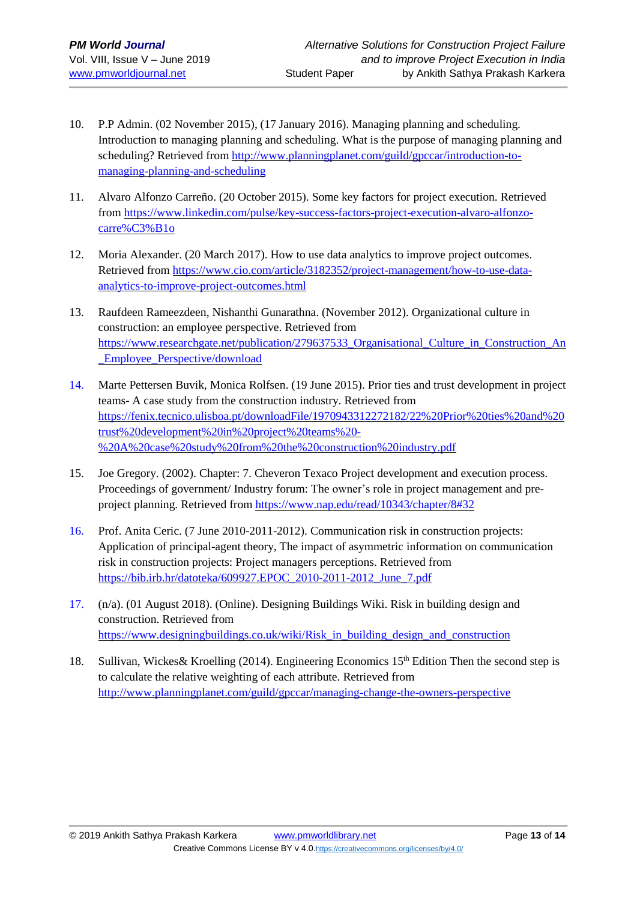- 10. P.P Admin. (02 November 2015), (17 January 2016). Managing planning and scheduling. Introduction to managing planning and scheduling. What is the purpose of managing planning and scheduling? Retrieved from [http://www.planningplanet.com/guild/gpccar/introduction-to](http://www.planningplanet.com/guild/gpccar/introduction-to-managing-planning-and-scheduling)[managing-planning-and-scheduling](http://www.planningplanet.com/guild/gpccar/introduction-to-managing-planning-and-scheduling)
- 11. Alvaro Alfonzo Carreño. (20 October 2015). Some key factors for project execution. Retrieved from [https://www.linkedin.com/pulse/key-success-factors-project-execution-alvaro-alfonzo](https://www.linkedin.com/pulse/key-success-factors-project-execution-alvaro-alfonzo-carre%C3%B1o)[carre%C3%B1o](https://www.linkedin.com/pulse/key-success-factors-project-execution-alvaro-alfonzo-carre%C3%B1o)
- 12. Moria Alexander. (20 March 2017). How to use data analytics to improve project outcomes. Retrieved from [https://www.cio.com/article/3182352/project-management/how-to-use-data](https://www.cio.com/article/3182352/project-management/how-to-use-data-analytics-to-improve-project-outcomes.html)[analytics-to-improve-project-outcomes.html](https://www.cio.com/article/3182352/project-management/how-to-use-data-analytics-to-improve-project-outcomes.html)
- 13. Raufdeen Rameezdeen, Nishanthi Gunarathna. (November 2012). Organizational culture in construction: an employee perspective. Retrieved from [https://www.researchgate.net/publication/279637533\\_Organisational\\_Culture\\_in\\_Construction\\_An](https://www.researchgate.net/publication/279637533_Organisational_Culture_in_Construction_An_Employee_Perspective/download) [\\_Employee\\_Perspective/download](https://www.researchgate.net/publication/279637533_Organisational_Culture_in_Construction_An_Employee_Perspective/download)
- 14. Marte Pettersen Buvik, Monica Rolfsen. (19 June 2015). Prior ties and trust development in project teams- A case study from the construction industry. Retrieved from [https://fenix.tecnico.ulisboa.pt/downloadFile/1970943312272182/22%20Prior%20ties%20and%20](https://fenix.tecnico.ulisboa.pt/downloadFile/1970943312272182/22%20Prior%20ties%20and%20trust%20development%20in%20project%20teams%20-%20A%20case%20study%20from%20the%20construction%20industry.pdf) [trust%20development%20in%20project%20teams%20-](https://fenix.tecnico.ulisboa.pt/downloadFile/1970943312272182/22%20Prior%20ties%20and%20trust%20development%20in%20project%20teams%20-%20A%20case%20study%20from%20the%20construction%20industry.pdf) [%20A%20case%20study%20from%20the%20construction%20industry.pdf](https://fenix.tecnico.ulisboa.pt/downloadFile/1970943312272182/22%20Prior%20ties%20and%20trust%20development%20in%20project%20teams%20-%20A%20case%20study%20from%20the%20construction%20industry.pdf)
- 15. Joe Gregory. (2002). Chapter: 7. Cheveron Texaco Project development and execution process. Proceedings of government/ Industry forum: The owner's role in project management and preproject planning. Retrieved from <https://www.nap.edu/read/10343/chapter/8#32>
- 16. Prof. Anita Ceric. (7 June 2010-2011-2012). Communication risk in construction projects: Application of principal-agent theory, The impact of asymmetric information on communication risk in construction projects: Project managers perceptions. Retrieved from [https://bib.irb.hr/datoteka/609927.EPOC\\_2010-2011-2012\\_June\\_7.pdf](https://bib.irb.hr/datoteka/609927.EPOC_2010-2011-2012_June_7.pdf)
- 17. (n/a). (01 August 2018). (Online). Designing Buildings Wiki. Risk in building design and construction. Retrieved from https://www.designingbuildings.co.uk/wiki/Risk in building design and construction
- 18. Sullivan, Wickes& Kroelling (2014). Engineering Economics 15<sup>th</sup> Edition Then the second step is to calculate the relative weighting of each attribute. Retrieved from <http://www.planningplanet.com/guild/gpccar/managing-change-the-owners-perspective>